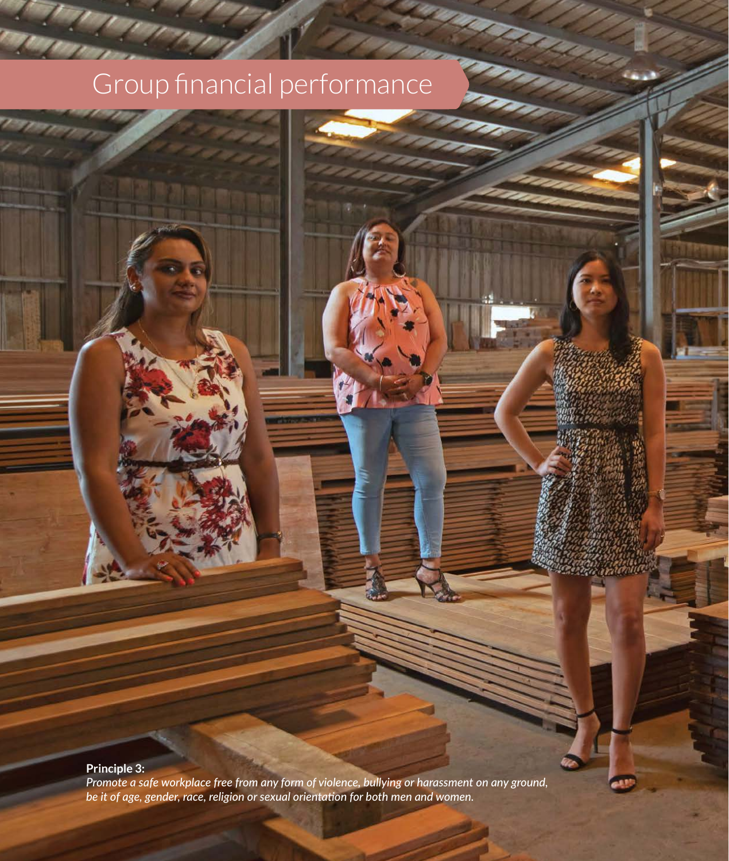#### **Principle 3:**

**94** MCB Group Limited Annual Report 2021

*Promote a safe workplace free from any form of violence, bullying or harassment on any ground, be it of age, gender, race, religion or sexual orientation for both men and women.*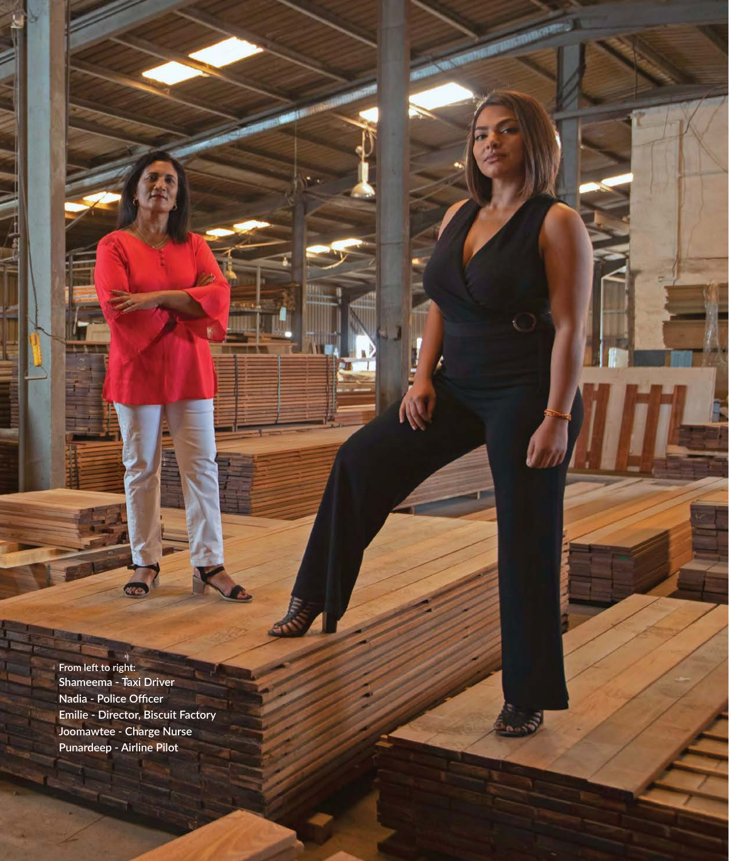**From left to right: Shameema - Taxi Driver Nadia - Police Officer Emilie - Director, Biscuit Factory Joomawtee - Charge Nurse Punardeep - Airline Pilot**

**95GROUP FINANCIAL PERFORMANCE**

**Sept 2**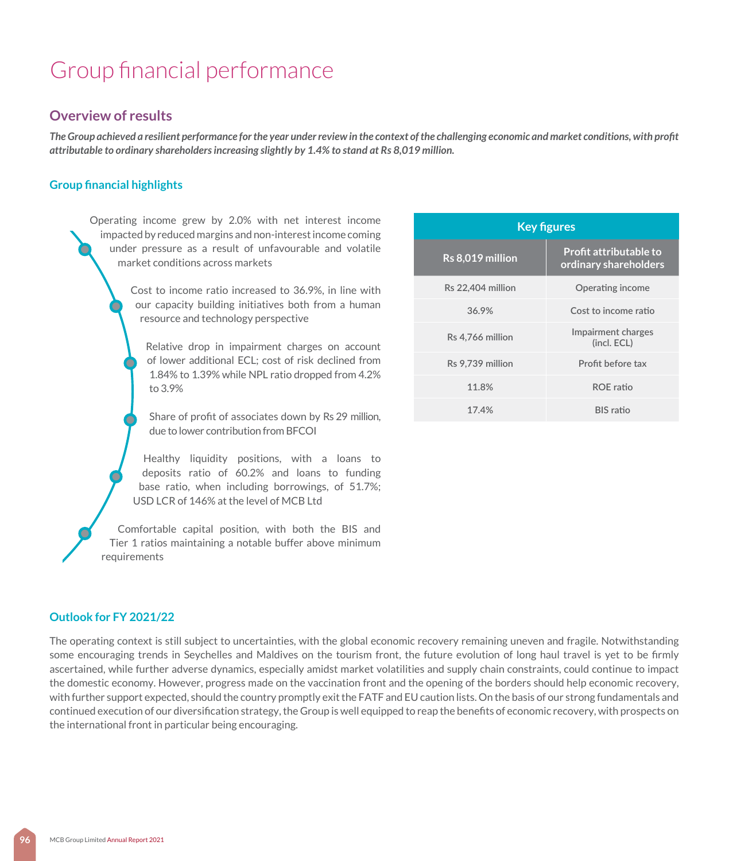### **Overview of results**

*The Group achieved a resilient performance for the year under review in the context of the challenging economic and market conditions, with profit attributable to ordinary shareholders increasing slightly by 1.4% to stand at Rs 8,019 million.*

#### **Group financial highlights**

Operating income grew by 2.0% with net interest income impacted by reduced margins and non-interest income coming under pressure as a result of unfavourable and volatile market conditions across markets

> Cost to income ratio increased to 36.9%, in line with our capacity building initiatives both from a human resource and technology perspective

Relative drop in impairment charges on account of lower additional ECL; cost of risk declined from 1.84% to 1.39% while NPL ratio dropped from 4.2% to 3.9%

Share of profit of associates down by Rs 29 million, due to lower contribution from BFCOI

Healthy liquidity positions, with a loans to deposits ratio of 60.2% and loans to funding base ratio, when including borrowings, of 51.7%; USD LCR of 146% at the level of MCB Ltd

Comfortable capital position, with both the BIS and Tier 1 ratios maintaining a notable buffer above minimum requirements

| <b>Key figures</b> |                                                        |  |
|--------------------|--------------------------------------------------------|--|
| Rs 8,019 million   | <b>Profit attributable to</b><br>ordinary shareholders |  |
| Rs 22,404 million  | Operating income                                       |  |
| 36.9%              | Cost to income ratio                                   |  |
| Rs 4.766 million   | Impairment charges<br>(incl. ECL)                      |  |
| Rs 9.739 million   | Profit before tax                                      |  |
| 11.8%              | <b>ROE</b> ratio                                       |  |
| 17.4%              | <b>BIS</b> ratio                                       |  |

#### **Outlook for FY 2021/22**

The operating context is still subject to uncertainties, with the global economic recovery remaining uneven and fragile. Notwithstanding some encouraging trends in Seychelles and Maldives on the tourism front, the future evolution of long haul travel is yet to be firmly ascertained, while further adverse dynamics, especially amidst market volatilities and supply chain constraints, could continue to impact the domestic economy. However, progress made on the vaccination front and the opening of the borders should help economic recovery, with further support expected, should the country promptly exit the FATF and EU caution lists. On the basis of our strong fundamentals and continued execution of our diversification strategy, the Group is well equipped to reap the benefits of economic recovery, with prospects on the international front in particular being encouraging.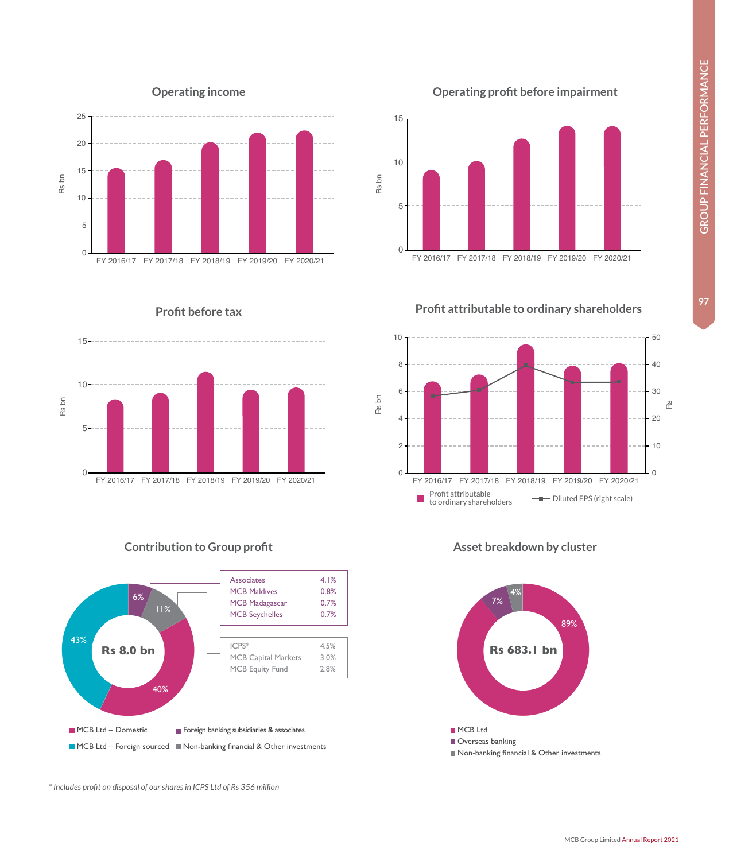**GROUP FINANCIAL PERFORMANCE 97GROUP FINANCIAL PERFORMANCE**

97

 $\Omega$ 

10

20







### **Profit before tax**





#### **Contribution to Group profit Asset breakdown by cluster**

*\* Includes profit on disposal of our shares in ICPS Ltd of Rs 356 million*

FY 2016/17 FY 2017/18 FY 2018/19 FY 2019/20 FY 2020/21

Profit attributable to ordinary shareholders Diluted EPS (right scale)



### **Operating profit before impairment**



**Profit attributable to ordinary shareholders**



0

2

4

6

Rs bn

8

10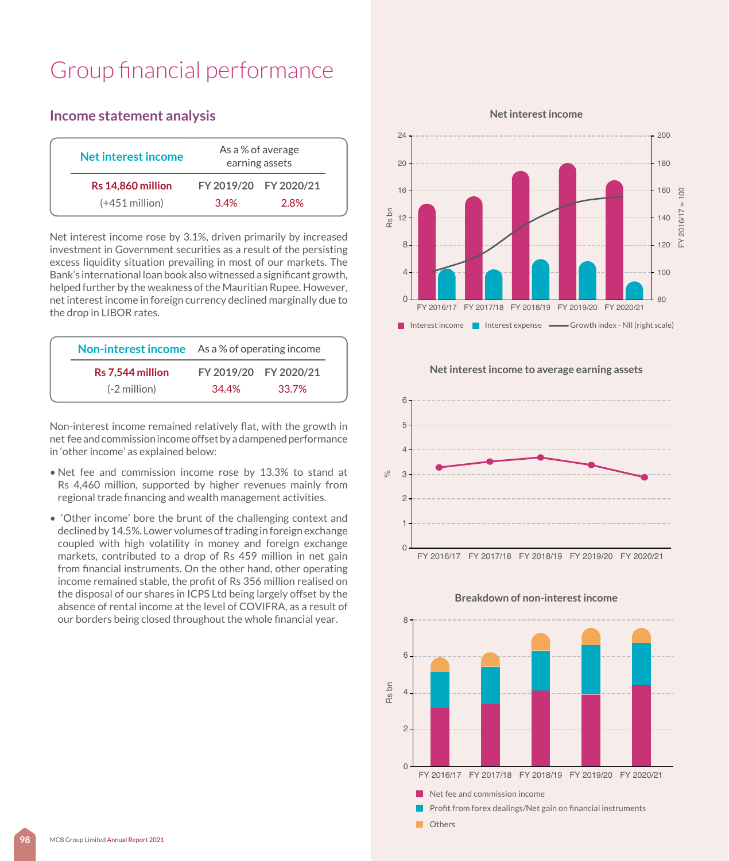**Income statement analysis**

## **Net interest income** As a % of average earning assets **Rs 14,860 million FY 2019/20 FY 2020/21** (+451 million) 3.4% 2.8%

Net interest income rose by 3.1%, driven primarily by increased investment in Government securities as a result of the persisting excess liquidity situation prevailing in most of our markets. The Bank's international loan book also witnessed a significant growth, helped further by the weakness of the Mauritian Rupee. However, net interest income in foreign currency declined marginally due to the drop in LIBOR rates.

|                  | <b>Non-interest income</b> As a % of operating income |       |
|------------------|-------------------------------------------------------|-------|
| Rs 7,544 million | FY 2019/20 FY 2020/21                                 |       |
| $(-2$ million)   | 34.4%                                                 | 33.7% |

Non-interest income remained relatively flat, with the growth in net fee and commission income offset by a dampened performance in 'other income' as explained below:

- Net fee and commission income rose by 13.3% to stand at Rs 4,460 million, supported by higher revenues mainly from regional trade financing and wealth management activities.
- 'Other income' bore the brunt of the challenging context and declined by 14.5%. Lower volumes of trading in foreign exchange coupled with high volatility in money and foreign exchange markets, contributed to a drop of Rs 459 million in net gain from financial instruments. On the other hand, other operating income remained stable, the profit of Rs 356 million realised on the disposal of our shares in ICPS Ltd being largely offset by the absence of rental income at the level of COVIFRA, as a result of our borders being closed throughout the whole financial year.

 **Net interest income** 



 **Net interest income to average earning assets**



#### **Breakdown of non-interest income**

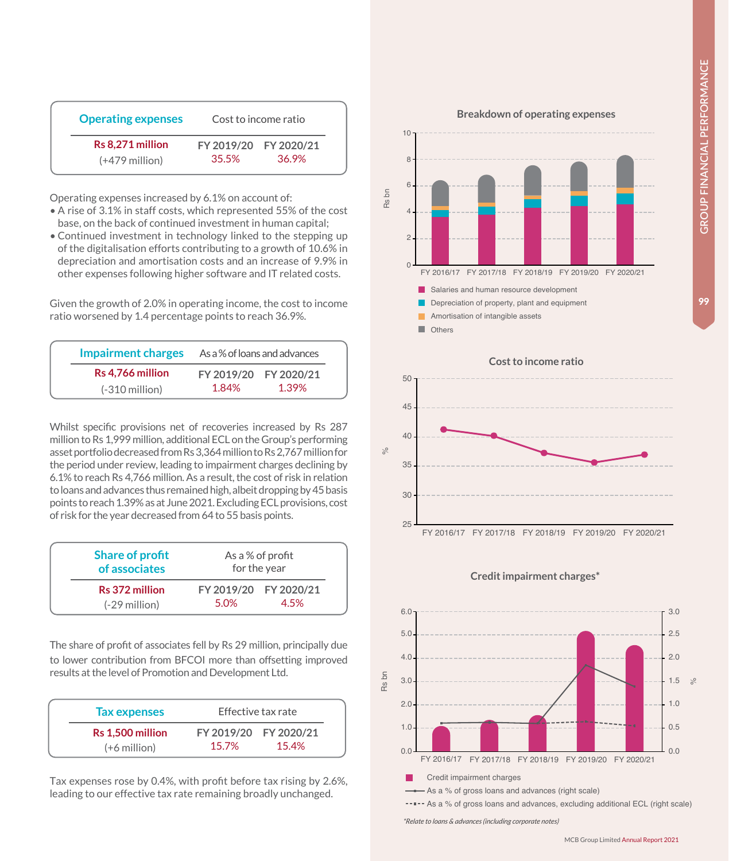99

| <b>Operating expenses</b>            | Cost to income ratio |                                |
|--------------------------------------|----------------------|--------------------------------|
| Rs 8.271 million<br>$(+479$ million) | 35.5%                | FY 2019/20 FY 2020/21<br>36.9% |

Operating expenses increased by 6.1% on account of:

- A rise of 3.1% in staff costs, which represented 55% of the cost base, on the back of continued investment in human capital;
- Continued investment in technology linked to the stepping up of the digitalisation efforts contributing to a growth of 10.6% in depreciation and amortisation costs and an increase of 9.9% in other expenses following higher software and IT related costs.

Given the growth of 2.0% in operating income, the cost to income ratio worsened by 1.4 percentage points to reach 36.9%.

| <b>Impairment charges</b> | As a % of loans and advances |                       |
|---------------------------|------------------------------|-----------------------|
| Rs 4.766 million          |                              | FY 2019/20 FY 2020/21 |
| $(-310$ million)          | 1.84%                        | 1.39%                 |

Whilst specific provisions net of recoveries increased by Rs 287 million to Rs 1,999 million, additional ECL on the Group's performing asset portfolio decreased from Rs 3,364 million to Rs 2,767 million for the period under review, leading to impairment charges declining by 6.1% to reach Rs 4,766 million. As a result, the cost of risk in relation to loans and advances thus remained high, albeit dropping by 45 basis points to reach 1.39% as at June 2021. Excluding ECL provisions, cost of risk for the year decreased from 64 to 55 basis points.

| <b>Share of profit</b><br>of associates | As a % of profit<br>for the year |                              |  |
|-----------------------------------------|----------------------------------|------------------------------|--|
| Rs 372 million<br>$(-29$ million)       | 5.0%                             | FY 2019/20 FY 2020/21<br>45% |  |

The share of profit of associates fell by Rs 29 million, principally due to lower contribution from BFCOI more than offsetting improved results at the level of Promotion and Development Ltd.

| <b>Tax expenses</b>                |       | Effective tax rate             |
|------------------------------------|-------|--------------------------------|
| Rs 1.500 million<br>$(+6$ million) | 15.7% | FY 2019/20 FY 2020/21<br>15.4% |

Tax expenses rose by 0.4%, with profit before tax rising by 2.6%, leading to our effective tax rate remaining broadly unchanged.



 **Cost to income ratio** 25 30 35 40 45 50 FY 2016/17 FY 2017/18 FY 2018/19 FY 2019/20 FY 2020/21 %

#### **Credit impairment charges\***



*<sup>\*</sup>Relate to loans & advances (including corporate notes)*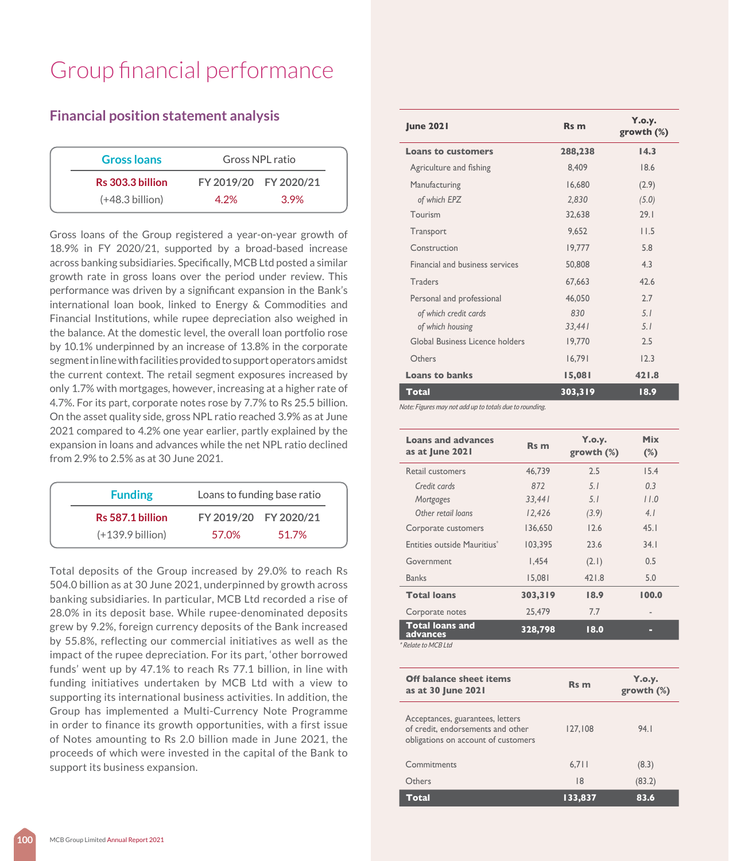### **Financial position statement analysis**

|      | Gross NPL ratio       |
|------|-----------------------|
|      | FY 2019/20 FY 2020/21 |
| 4 2% | 3.9%                  |
|      |                       |

Gross loans of the Group registered a year-on-year growth of 18.9% in FY 2020/21, supported by a broad-based increase across banking subsidiaries. Specifically, MCB Ltd posted a similar growth rate in gross loans over the period under review. This performance was driven by a significant expansion in the Bank's international loan book, linked to Energy & Commodities and Financial Institutions, while rupee depreciation also weighed in the balance. At the domestic level, the overall loan portfolio rose by 10.1% underpinned by an increase of 13.8% in the corporate segment in line with facilities provided to support operators amidst the current context. The retail segment exposures increased by only 1.7% with mortgages, however, increasing at a higher rate of 4.7%. For its part, corporate notes rose by 7.7% to Rs 25.5 billion. On the asset quality side, gross NPL ratio reached 3.9% as at June 2021 compared to 4.2% one year earlier, partly explained by the expansion in loans and advances while the net NPL ratio declined from 2.9% to 2.5% as at 30 June 2021.

| FY 2019/20 FY 2020/21<br>Rs 587.1 billion<br>$(+139.9)$ billion)<br>57.0%<br>51.7% | <b>Funding</b> | Loans to funding base ratio |
|------------------------------------------------------------------------------------|----------------|-----------------------------|
|                                                                                    |                |                             |
|                                                                                    |                |                             |

Total deposits of the Group increased by 29.0% to reach Rs 504.0 billion as at 30 June 2021, underpinned by growth across banking subsidiaries. In particular, MCB Ltd recorded a rise of 28.0% in its deposit base. While rupee-denominated deposits grew by 9.2%, foreign currency deposits of the Bank increased by 55.8%, reflecting our commercial initiatives as well as the impact of the rupee depreciation. For its part, 'other borrowed funds' went up by 47.1% to reach Rs 77.1 billion, in line with funding initiatives undertaken by MCB Ltd with a view to supporting its international business activities. In addition, the Group has implemented a Multi-Currency Note Programme in order to finance its growth opportunities, with a first issue of Notes amounting to Rs 2.0 billion made in June 2021, the proceeds of which were invested in the capital of the Bank to support its business expansion.

| <b>June 2021</b>                | Rs m    | Y.o.y.<br>growth $(\%)$ |
|---------------------------------|---------|-------------------------|
| <b>Loans to customers</b>       | 288,238 | 14.3                    |
| Agriculture and fishing         | 8,409   | 18.6                    |
| Manufacturing                   | 16,680  | (2.9)                   |
| of which EPZ                    | 2,830   | (5.0)                   |
| Tourism                         | 32,638  | 29.1                    |
| Transport                       | 9.652   | 11.5                    |
| Construction                    | 19,777  | 5.8                     |
| Financial and business services | 50,808  | 4.3                     |
| Traders                         | 67.663  | 42.6                    |
| Personal and professional       | 46,050  | 2.7                     |
| of which credit cards           | 830     | 5.1                     |
| of which housing                | 33,441  | 5.1                     |
| Global Business Licence holders | 19,770  | 2.5                     |
| Others                          | 16,791  | 12.3                    |
| <b>Loans to banks</b>           | 15,081  | 421.8                   |
| <b>Total</b>                    | 303,319 | 18.9                    |

*Note: Figures may not add up to totals due to rounding.*

| <b>Loans and advances</b><br>as at June 2021 | Rs m    | Y.o.y.<br>growth $(\%)$ | <b>Mix</b><br>$(\%)$ |
|----------------------------------------------|---------|-------------------------|----------------------|
| Retail customers                             | 46.739  | 2.5                     | 15.4                 |
| Credit cards                                 | 872     | 5.1                     | 0.3                  |
| Mortgages                                    | 33,441  | 5.1                     | 11.0                 |
| Other retail loans                           | 12,426  | (3.9)                   | 4.1                  |
| Corporate customers                          | 136,650 | 12.6                    | 45.1                 |
| Entities outside Mauritius <sup>®</sup>      | 103.395 | 23.6                    | 34.1                 |
| Government                                   | 1.454   | (2.1)                   | 0.5                  |
| <b>Banks</b>                                 | 15.081  | 421.8                   | 5.0                  |
| <b>Total loans</b>                           | 303,319 | 18.9                    | 100.0                |
| Corporate notes                              | 25,479  | 7.7                     |                      |
| <b>Total loans and</b><br>advances           | 328,798 | 18.0                    | □                    |
| * Relate to MCB Ltd                          |         |                         |                      |

| <b>Off balance sheet items</b><br>as at 30 June 2021                                                         | Rs m    | Y.o.y.<br>growth $(\%)$ |
|--------------------------------------------------------------------------------------------------------------|---------|-------------------------|
| Acceptances, guarantees, letters<br>of credit, endorsements and other<br>obligations on account of customers | 127.108 | 94.I                    |
| Commitments                                                                                                  | 6,711   | (8.3)                   |
| Others                                                                                                       | 8       | (83.2)                  |
| Total                                                                                                        | 133.837 | 83.6                    |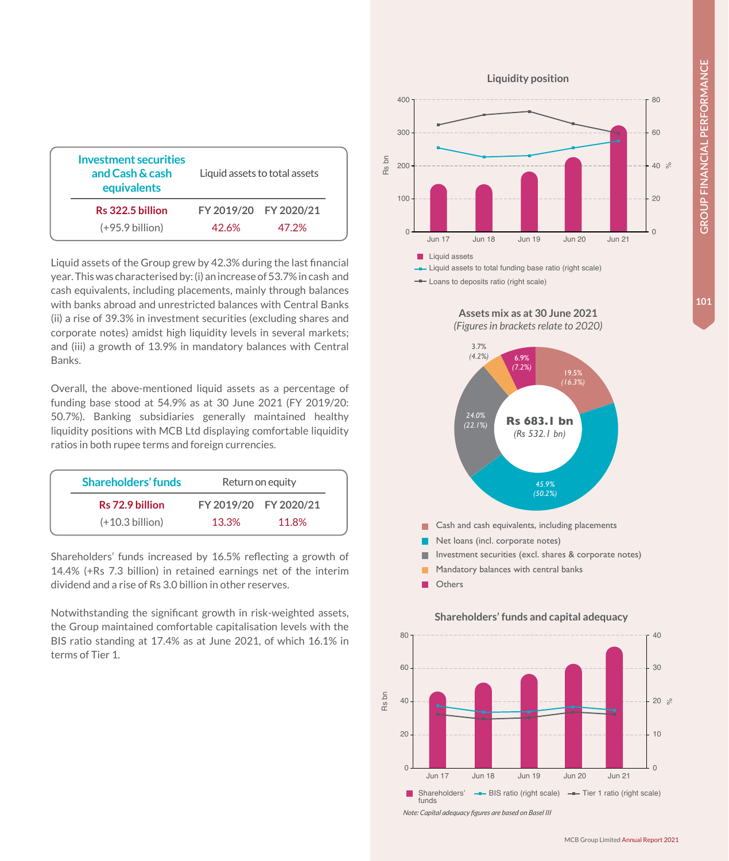101

| Investment securities<br>and Cash & cash<br>equivalents |      | Liquid assets to total assets |
|---------------------------------------------------------|------|-------------------------------|
| Rs 322.5 billion                                        |      | FY 2019/20 FY 2020/21         |
| $(+95.9 billion)$                                       | 426% | 47 2%                         |
|                                                         |      |                               |

Liquid assets of the Group grew by 42.3% during the last financial year. This was characterised by: (i) an increase of 53.7% in cash and cash equivalents, including placements, mainly through balances with banks abroad and unrestricted balances with Central Banks (ii) a rise of 39.3% in investment securities (excluding shares and corporate notes) amidst high liquidity levels in several markets; and (iii) a growth of 13.9% in mandatory balances with Central Banks.

Overall, the above-mentioned liquid assets as a percentage of funding base stood at 54.9% as at 30 June 2021 (FY 2019/20: 50.7%). Banking subsidiaries generally maintained healthy liquidity positions with MCB Ltd displaying comfortable liquidity ratios in both rupee terms and foreign currencies.

| Shareholders' funds | Return on equity |                       |  |  |  |
|---------------------|------------------|-----------------------|--|--|--|
| Rs 72.9 billion     |                  | FY 2019/20 FY 2020/21 |  |  |  |
| $(+10.3\,$ billion) | 13.3%            | 11.8%                 |  |  |  |

Shareholders' funds increased by 16.5% reflecting a growth of 14.4% (+Rs 7.3 billion) in retained earnings net of the interim dividend and a rise of Rs 3.0 billion in other reserves.

Notwithstanding the significant growth in risk-weighted assets, the Group maintained comfortable capitalisation levels with the BIS ratio standing at 17.4% as at June 2021, of which 16.1% in terms of Tier 1.



**Liquidity position**

- Loans to deposits ratio (right scale)





*Note: Capital adequacy figures are based on Basel III*

# **Assets mix as at 30 June 2021**